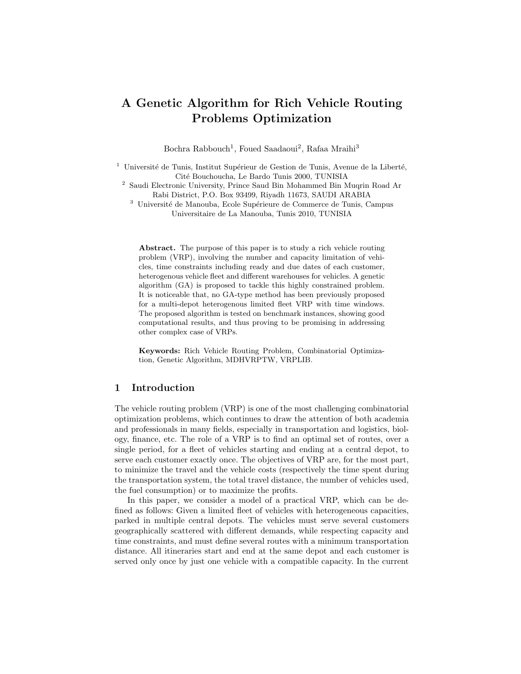# A Genetic Algorithm for Rich Vehicle Routing Problems Optimization

Bochra Rabbouch<sup>1</sup>, Foued Saadaoui<sup>2</sup>, Rafaa Mraihi<sup>3</sup>

 $1$  Université de Tunis, Institut Supérieur de Gestion de Tunis, Avenue de la Liberté, Cit´e Bouchoucha, Le Bardo Tunis 2000, TUNISIA

<sup>2</sup> Saudi Electronic University, Prince Saud Bin Mohammed Bin Muqrin Road Ar Rabi District, P.O. Box 93499, Riyadh 11673, SAUDI ARABIA

 $^3\,$ Université de Manouba, Ecole Supérieure de Commerce de Tunis, Campus Universitaire de La Manouba, Tunis 2010, TUNISIA

Abstract. The purpose of this paper is to study a rich vehicle routing problem (VRP), involving the number and capacity limitation of vehicles, time constraints including ready and due dates of each customer, heterogenous vehicle fleet and different warehouses for vehicles. A genetic algorithm (GA) is proposed to tackle this highly constrained problem. It is noticeable that, no GA-type method has been previously proposed for a multi-depot heterogenous limited fleet VRP with time windows. The proposed algorithm is tested on benchmark instances, showing good computational results, and thus proving to be promising in addressing other complex case of VRPs.

Keywords: Rich Vehicle Routing Problem, Combinatorial Optimization, Genetic Algorithm, MDHVRPTW, VRPLIB.

## 1 Introduction

The vehicle routing problem (VRP) is one of the most challenging combinatorial optimization problems, which continues to draw the attention of both academia and professionals in many fields, especially in transportation and logistics, biology, finance, etc. The role of a VRP is to find an optimal set of routes, over a single period, for a fleet of vehicles starting and ending at a central depot, to serve each customer exactly once. The objectives of VRP are, for the most part, to minimize the travel and the vehicle costs (respectively the time spent during the transportation system, the total travel distance, the number of vehicles used, the fuel consumption) or to maximize the profits.

In this paper, we consider a model of a practical VRP, which can be defined as follows: Given a limited fleet of vehicles with heterogeneous capacities, parked in multiple central depots. The vehicles must serve several customers geographically scattered with different demands, while respecting capacity and time constraints, and must define several routes with a minimum transportation distance. All itineraries start and end at the same depot and each customer is served only once by just one vehicle with a compatible capacity. In the current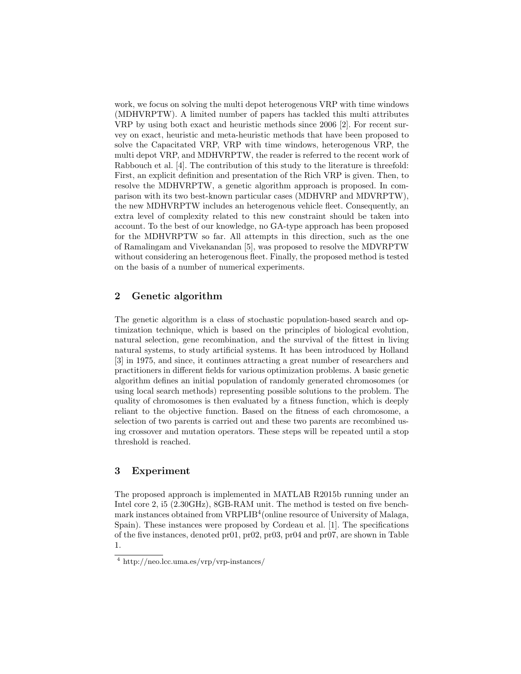work, we focus on solving the multi depot heterogenous VRP with time windows (MDHVRPTW). A limited number of papers has tackled this multi attributes VRP by using both exact and heuristic methods since 2006 [2]. For recent survey on exact, heuristic and meta-heuristic methods that have been proposed to solve the Capacitated VRP, VRP with time windows, heterogenous VRP, the multi depot VRP, and MDHVRPTW, the reader is referred to the recent work of Rabbouch et al. [4]. The contribution of this study to the literature is threefold: First, an explicit definition and presentation of the Rich VRP is given. Then, to resolve the MDHVRPTW, a genetic algorithm approach is proposed. In comparison with its two best-known particular cases (MDHVRP and MDVRPTW), the new MDHVRPTW includes an heterogenous vehicle fleet. Consequently, an extra level of complexity related to this new constraint should be taken into account. To the best of our knowledge, no GA-type approach has been proposed for the MDHVRPTW so far. All attempts in this direction, such as the one of Ramalingam and Vivekanandan [5], was proposed to resolve the MDVRPTW without considering an heterogenous fleet. Finally, the proposed method is tested on the basis of a number of numerical experiments.

# 2 Genetic algorithm

The genetic algorithm is a class of stochastic population-based search and optimization technique, which is based on the principles of biological evolution, natural selection, gene recombination, and the survival of the fittest in living natural systems, to study artificial systems. It has been introduced by Holland [3] in 1975, and since, it continues attracting a great number of researchers and practitioners in different fields for various optimization problems. A basic genetic algorithm defines an initial population of randomly generated chromosomes (or using local search methods) representing possible solutions to the problem. The quality of chromosomes is then evaluated by a fitness function, which is deeply reliant to the objective function. Based on the fitness of each chromosome, a selection of two parents is carried out and these two parents are recombined using crossover and mutation operators. These steps will be repeated until a stop threshold is reached.

# 3 Experiment

The proposed approach is implemented in MATLAB R2015b running under an Intel core 2, i5 (2.30GHz), 8GB-RAM unit. The method is tested on five benchmark instances obtained from VRPLIB<sup>4</sup> (online resource of University of Malaga, Spain). These instances were proposed by Cordeau et al. [1]. The specifications of the five instances, denoted pr01, pr02, pr03, pr04 and pr07, are shown in Table 1.

<sup>4</sup> http://neo.lcc.uma.es/vrp/vrp-instances/